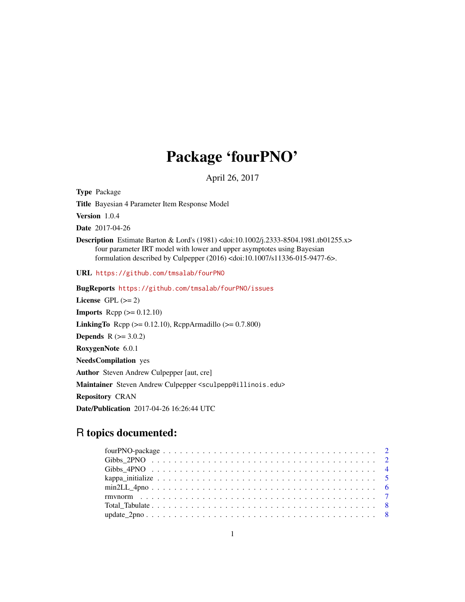## Package 'fourPNO'

April 26, 2017

Type Package

Title Bayesian 4 Parameter Item Response Model

Version 1.0.4

Date 2017-04-26

Description Estimate Barton & Lord's (1981) <doi:10.1002/j.2333-8504.1981.tb01255.x> four parameter IRT model with lower and upper asymptotes using Bayesian formulation described by Culpepper (2016) <doi:10.1007/s11336-015-9477-6>.

URL <https://github.com/tmsalab/fourPNO>

BugReports <https://github.com/tmsalab/fourPNO/issues> License GPL  $(>= 2)$ **Imports** Rcpp  $(>= 0.12.10)$ **LinkingTo** Rcpp ( $>= 0.12.10$ ), RcppArmadillo ( $>= 0.7.800$ ) **Depends**  $R (= 3.0.2)$ RoxygenNote 6.0.1 NeedsCompilation yes Author Steven Andrew Culpepper [aut, cre] Maintainer Steven Andrew Culpepper <sculpepp@illinois.edu> Repository CRAN Date/Publication 2017-04-26 16:26:44 UTC

## R topics documented: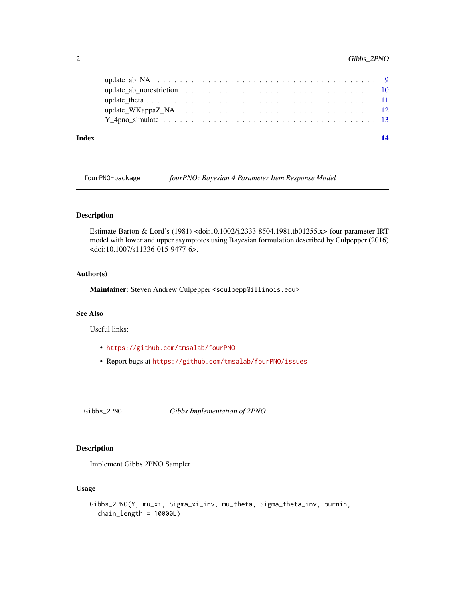<span id="page-1-0"></span>

| Index | 14 |
|-------|----|
|       |    |
|       |    |
|       |    |
|       |    |
|       |    |

fourPNO-package *fourPNO: Bayesian 4 Parameter Item Response Model*

#### Description

Estimate Barton & Lord's (1981) <doi:10.1002/j.2333-8504.1981.tb01255.x> four parameter IRT model with lower and upper asymptotes using Bayesian formulation described by Culpepper (2016) <doi:10.1007/s11336-015-9477-6>.

#### Author(s)

Maintainer: Steven Andrew Culpepper <sculpepp@illinois.edu>

## See Also

Useful links:

- <https://github.com/tmsalab/fourPNO>
- Report bugs at <https://github.com/tmsalab/fourPNO/issues>

Gibbs\_2PNO *Gibbs Implementation of 2PNO*

#### Description

Implement Gibbs 2PNO Sampler

#### Usage

```
Gibbs_2PNO(Y, mu_xi, Sigma_xi_inv, mu_theta, Sigma_theta_inv, burnin,
  chain_length = 10000L)
```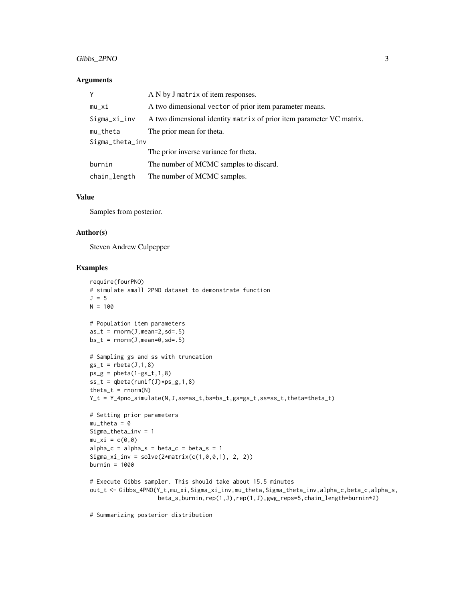#### Gibbs\_2PNO 3

#### **Arguments**

|                 | A N by J matrix of item responses.                                   |  |
|-----------------|----------------------------------------------------------------------|--|
| $mu_x$ i        | A two dimensional vector of prior item parameter means.              |  |
| Sigma_xi_inv    | A two dimensional identity matrix of prior item parameter VC matrix. |  |
| $mu_{t}$ heta   | The prior mean for theta.                                            |  |
| Sigma_theta_inv |                                                                      |  |
|                 | The prior inverse variance for theta.                                |  |
| burnin          | The number of MCMC samples to discard.                               |  |
| chain_length    | The number of MCMC samples.                                          |  |

#### Value

Samples from posterior.

#### Author(s)

Steven Andrew Culpepper

## Examples

```
require(fourPNO)
# simulate small 2PNO dataset to demonstrate function
J = 5N = 100# Population item parameters
as_t = rnorm(J,mean=2, sd=.5)bs_t = rnorm(J,mean=0, sd=.5)# Sampling gs and ss with truncation
gs_t = \text{rbeta}(J,1,8)ps_g = pbeta(1-gs_t,1,8)ss_t = qbeta(runif(J) * ps_g, 1, 8)theta_t = rnorm(N)Y_t = Y_4pno_simulate(N, J, as=as_t, bs=bs_t, gs=gs_t, ss=ss_t, theta=theta_t)
# Setting prior parameters
mu_{theta} = 0Sigma_theta_inv = 1
mu_xi = c(0,0)
alpha_c = alpha_s = beta_c = beta_s = 1Sigma_xi_inv = solve(2*matrix(c(1,0,0,1), 2, 2))burnin = 1000
# Execute Gibbs sampler. This should take about 15.5 minutes
out_t <- Gibbs_4PNO(Y_t,mu_xi,Sigma_xi_inv,mu_theta,Sigma_theta_inv,alpha_c,beta_c,alpha_s,
                    beta_s,burnin,rep(1,J),rep(1,J),gwg_reps=5,chain_length=burnin*2)
```
# Summarizing posterior distribution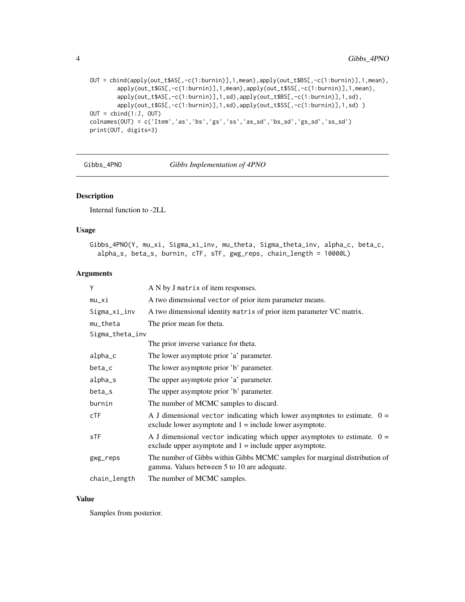```
OUT = cbind(apply(out_t$AS[,-c(1:burnin)],1,mean),apply(out_t$BS[,-c(1:burnin)],1,mean),
        apply(out_t$GS[,-c(1:burnin)],1,mean),apply(out_t$SS[,-c(1:burnin)],1,mean),
        apply(out_t$AS[,-c(1:burnin)],1,sd),apply(out_t$BS[,-c(1:burnin)],1,sd),
        apply(out_t$GS[,-c(1:burnin)],1,sd),apply(out_t$SS[,-c(1:burnin)],1,sd))
OUT = \text{cbind}(1:J, OUT)colnames(OUT) = c('Item','as','bs','gs','ss','as_sd','bs_sd','gs_sd','ss_sd')
print(OUT, digits=3)
```
<span id="page-3-1"></span>Gibbs\_4PNO *Gibbs Implementation of 4PNO*

#### Description

Internal function to -2LL

#### Usage

```
Gibbs_4PNO(Y, mu_xi, Sigma_xi_inv, mu_theta, Sigma_theta_inv, alpha_c, beta_c,
  alpha_s, beta_s, burnin, cTF, sTF, gwg_reps, chain_length = 10000L)
```
#### Arguments

| Y               | A N by J matrix of item responses.                                                                                                        |
|-----------------|-------------------------------------------------------------------------------------------------------------------------------------------|
| $mu_x$ i        | A two dimensional vector of prior item parameter means.                                                                                   |
| Sigma_xi_inv    | A two dimensional identity matrix of prior item parameter VC matrix.                                                                      |
| $mu_{t}$ heta   | The prior mean for theta.                                                                                                                 |
| Sigma_theta_inv |                                                                                                                                           |
|                 | The prior inverse variance for theta.                                                                                                     |
| alpha_c         | The lower asymptote prior 'a' parameter.                                                                                                  |
| beta_c          | The lower asymptote prior 'b' parameter.                                                                                                  |
| alpha_s         | The upper asymptote prior 'a' parameter.                                                                                                  |
| beta_s          | The upper asymptote prior 'b' parameter.                                                                                                  |
| burnin          | The number of MCMC samples to discard.                                                                                                    |
| CTF             | A J dimensional vector indicating which lower asymptotes to estimate. $0 =$<br>exclude lower asymptote and $1 =$ include lower asymptote. |
| sTF             | A J dimensional vector indicating which upper asymptotes to estimate. $0 =$<br>exclude upper asymptote and $1 =$ include upper asymptote. |
| gwg_reps        | The number of Gibbs within Gibbs MCMC samples for marginal distribution of<br>gamma. Values between 5 to 10 are adequate.                 |
| chain_length    | The number of MCMC samples.                                                                                                               |

#### Value

Samples from posterior.

<span id="page-3-0"></span>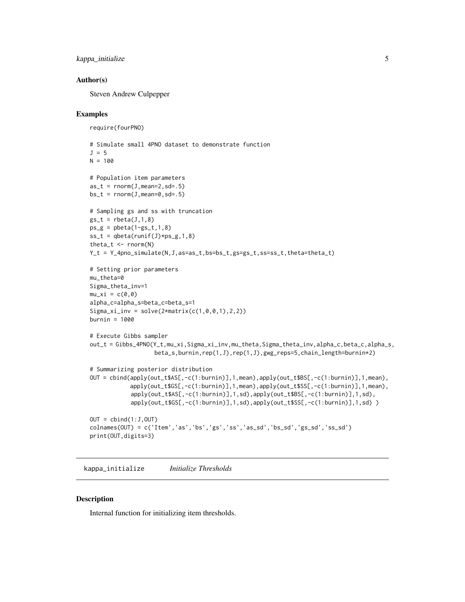```
kappa_initialize 5
```
#### Author(s)

Steven Andrew Culpepper

#### Examples

```
require(fourPNO)
# Simulate small 4PNO dataset to demonstrate function
J = 5N = 100# Population item parameters
as_t = rnorm(J,mean=2, sd=.5)bs_t = rnorm(J,mean=0, sd=.5)# Sampling gs and ss with truncation
gs_t = \text{rbeta}(J,1,8)ps_g = \text{pbeta}(1-gs_t,1,8)ss_t = qbeta(runif(J) * ps_g, 1, 8)theta_t \leq rnorm(N)
Y_t = Y_4pno_simulate(N, J, as=as_t, bs=bs_t, gs=gs_t, ss=ss_t, theta=theta_t)
# Setting prior parameters
mu_theta=0
Sigma_theta_inv=1
mu_xi = c(0,0)alpha_c=alpha_s=beta_c=beta_s=1
Sigma_x i_inv = solve(2*matrix(c(1, 0, 0, 1), 2, 2))burnin = 1000# Execute Gibbs sampler
out_t = Gibbs_4PNO(Y_t,mu_xi,Sigma_xi_inv,mu_theta,Sigma_theta_inv,alpha_c,beta_c,alpha_s,
                   beta_s,burnin,rep(1,J),rep(1,J),gwg_reps=5,chain_length=burnin*2)
# Summarizing posterior distribution
OUT = cbind(apply(out_t$AS[,-c(1:burnin)],1,mean),apply(out_t$BS[,-c(1:burnin)],1,mean),
            apply(out_t$GS[,-c(1:burnin)],1,mean),apply(out_t$SS[,-c(1:burnin)],1,mean),
            apply(out_t$AS[,-c(1:burnin)],1,sd),apply(out_t$BS[,-c(1:burnin)],1,sd),
            apply(out_t$GS[,-c(1:burnin)],1,sd),apply(out_t$SS[,-c(1:burnin)],1,sd) )
OUT = \text{cbind}(1:J,OUT)colnames(OUT) = c('Item','as','bs','gs','ss','as_sd','bs_sd','gs_sd','ss_sd')
print(OUT,digits=3)
```
kappa\_initialize *Initialize Thresholds*

#### Description

Internal function for initializing item thresholds.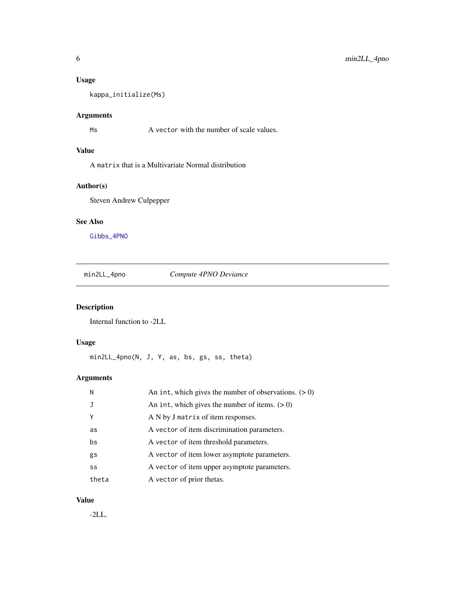## <span id="page-5-0"></span>Usage

kappa\_initialize(Ms)

## Arguments

Ms A vector with the number of scale values.

## Value

A matrix that is a Multivariate Normal distribution

## Author(s)

Steven Andrew Culpepper

## See Also

[Gibbs\\_4PNO](#page-3-1)

min2LL\_4pno *Compute 4PNO Deviance*

## Description

Internal function to -2LL

## Usage

min2LL\_4pno(N, J, Y, as, bs, gs, ss, theta)

## Arguments

| N     | An int, which gives the number of observations. $(> 0)$ |
|-------|---------------------------------------------------------|
|       | An int, which gives the number of items. $(>0)$         |
| Y     | A N by J matrix of item responses.                      |
| as    | A vector of item discrimination parameters.             |
| bs    | A vector of item threshold parameters.                  |
| gs    | A vector of item lower asymptote parameters.            |
| SS    | A vector of item upper asymptote parameters.            |
| theta | A vector of prior thetas.                               |

#### Value

-2LL.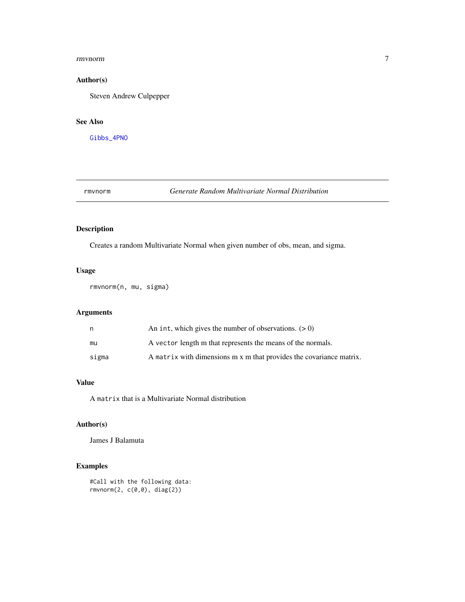#### <span id="page-6-0"></span>rmvnorm 7

## Author(s)

Steven Andrew Culpepper

## See Also

[Gibbs\\_4PNO](#page-3-1)

rmvnorm *Generate Random Multivariate Normal Distribution*

## Description

Creates a random Multivariate Normal when given number of obs, mean, and sigma.

#### Usage

rmvnorm(n, mu, sigma)

## Arguments

| n     | An int, which gives the number of observations. $(0)$               |
|-------|---------------------------------------------------------------------|
| mu    | A vector length m that represents the means of the normals.         |
| sigma | A matrix with dimensions m x m that provides the covariance matrix. |

## Value

A matrix that is a Multivariate Normal distribution

#### Author(s)

James J Balamuta

## Examples

#Call with the following data: rmvnorm(2, c(0,0), diag(2))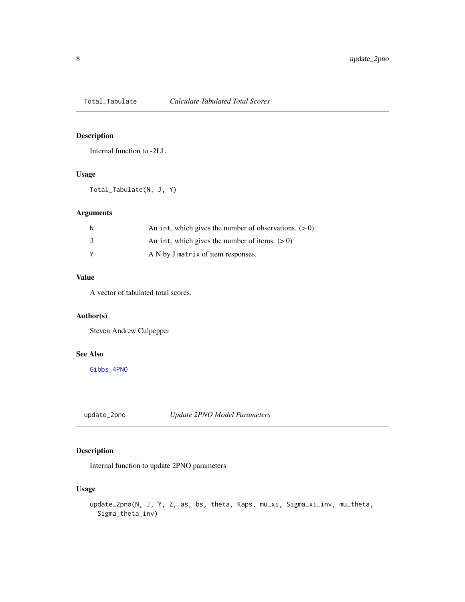<span id="page-7-0"></span>

#### Description

Internal function to -2LL

#### Usage

Total\_Tabulate(N, J, Y)

## Arguments

| N | An int, which gives the number of observations. $(0)$ |
|---|-------------------------------------------------------|
|   | An int, which gives the number of items. $(0)$        |
|   | A N by J matrix of item responses.                    |

## Value

A vector of tabulated total scores.

## Author(s)

Steven Andrew Culpepper

#### See Also

[Gibbs\\_4PNO](#page-3-1)

update\_2pno *Update 2PNO Model Parameters*

## Description

Internal function to update 2PNO parameters

## Usage

```
update_2pno(N, J, Y, Z, as, bs, theta, Kaps, mu_xi, Sigma_xi_inv, mu_theta,
  Sigma_theta_inv)
```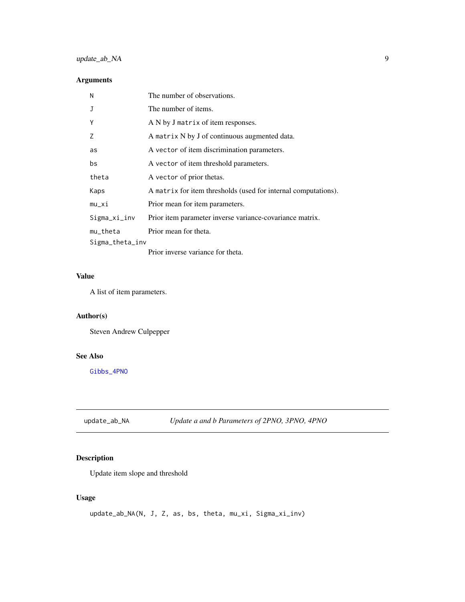## <span id="page-8-0"></span>update\_ab\_NA 9

## Arguments

| N               | The number of observations.                                    |
|-----------------|----------------------------------------------------------------|
| J               | The number of items.                                           |
| Υ               | A N by J matrix of item responses.                             |
| 7               | A matrix N by J of continuous augmented data.                  |
| as              | A vector of item discrimination parameters.                    |
| bs              | A vector of item threshold parameters.                         |
| theta           | A vector of prior thetas.                                      |
| Kaps            | A matrix for item thresholds (used for internal computations). |
| mu_xi           | Prior mean for item parameters.                                |
| Sigma_xi_inv    | Prior item parameter inverse variance-covariance matrix.       |
| mu_theta        | Prior mean for theta.                                          |
| Sigma_theta_inv |                                                                |
|                 | Driar invarga veriango for thata                               |

Prior inverse variance for theta.

## Value

A list of item parameters.

## Author(s)

Steven Andrew Culpepper

#### See Also

[Gibbs\\_4PNO](#page-3-1)

update\_ab\_NA *Update a and b Parameters of 2PNO, 3PNO, 4PNO*

## Description

Update item slope and threshold

## Usage

```
update_ab_NA(N, J, Z, as, bs, theta, mu_xi, Sigma_xi_inv)
```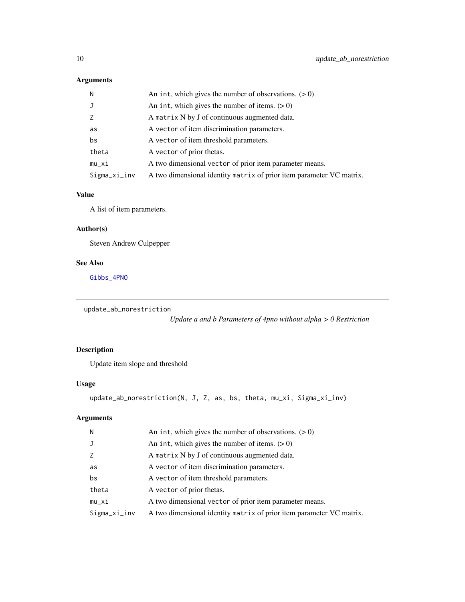## <span id="page-9-0"></span>Arguments

| N            | An int, which gives the number of observations. $(0)$                |
|--------------|----------------------------------------------------------------------|
| J            | An int, which gives the number of items. $(> 0)$                     |
| Z            | A matrix N by J of continuous augmented data.                        |
| as           | A vector of item discrimination parameters.                          |
| bs           | A vector of item threshold parameters.                               |
| theta        | A vector of prior thetas.                                            |
| $mu_x$ i     | A two dimensional vector of prior item parameter means.              |
| Sigma_xi_inv | A two dimensional identity matrix of prior item parameter VC matrix. |

#### Value

A list of item parameters.

## Author(s)

Steven Andrew Culpepper

## See Also

[Gibbs\\_4PNO](#page-3-1)

```
update_ab_norestriction
```
*Update a and b Parameters of 4pno without alpha > 0 Restriction*

## Description

Update item slope and threshold

## Usage

```
update_ab_norestriction(N, J, Z, as, bs, theta, mu_xi, Sigma_xi_inv)
```
## Arguments

| N            | An int, which gives the number of observations. $(> 0)$              |
|--------------|----------------------------------------------------------------------|
| J            | An int, which gives the number of items. $(> 0)$                     |
| Z            | A matrix N by J of continuous augmented data.                        |
| as           | A vector of item discrimination parameters.                          |
| bs           | A vector of item threshold parameters.                               |
| theta        | A vector of prior thetas.                                            |
| $mu_x$ i     | A two dimensional vector of prior item parameter means.              |
| Sigma_xi_inv | A two dimensional identity matrix of prior item parameter VC matrix. |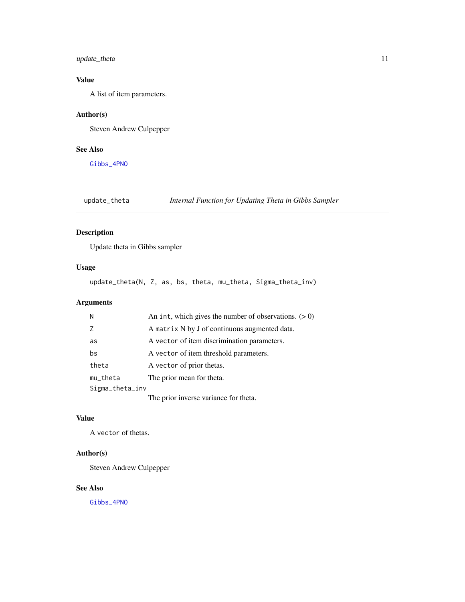## <span id="page-10-0"></span>update\_theta 11

## Value

A list of item parameters.

## Author(s)

Steven Andrew Culpepper

#### See Also

[Gibbs\\_4PNO](#page-3-1)

## update\_theta *Internal Function for Updating Theta in Gibbs Sampler*

## Description

Update theta in Gibbs sampler

## Usage

update\_theta(N, Z, as, bs, theta, mu\_theta, Sigma\_theta\_inv)

## Arguments

| Ν  |                 | An int, which gives the number of observations. $(> 0)$ |
|----|-----------------|---------------------------------------------------------|
| 7  |                 | A matrix N by J of continuous augmented data.           |
| as |                 | A vector of item discrimination parameters.             |
| bs |                 | A vector of item threshold parameters.                  |
|    | theta           | A vector of prior thetas.                               |
|    | mu_theta        | The prior mean for theta.                               |
|    | Sigma_theta_inv |                                                         |
|    |                 | The prior inverse variance for theta.                   |

## Value

A vector of thetas.

## Author(s)

Steven Andrew Culpepper

#### See Also

[Gibbs\\_4PNO](#page-3-1)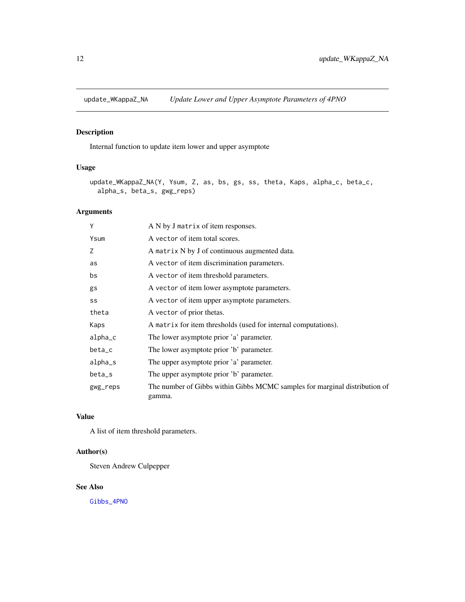<span id="page-11-0"></span>update\_WKappaZ\_NA *Update Lower and Upper Asymptote Parameters of 4PNO*

## Description

Internal function to update item lower and upper asymptote

## Usage

```
update_WKappaZ_NA(Y, Ysum, Z, as, bs, gs, ss, theta, Kaps, alpha_c, beta_c,
  alpha_s, beta_s, gwg_reps)
```
## Arguments

| Y        | A N by J matrix of item responses.                                                   |
|----------|--------------------------------------------------------------------------------------|
| Ysum     | A vector of item total scores.                                                       |
| Z        | A matrix N by J of continuous augmented data.                                        |
| as       | A vector of item discrimination parameters.                                          |
| bs       | A vector of item threshold parameters.                                               |
| gs       | A vector of item lower asymptote parameters.                                         |
| SS       | A vector of item upper asymptote parameters.                                         |
| theta    | A vector of prior thetas.                                                            |
| Kaps     | A matrix for item thresholds (used for internal computations).                       |
| alpha_c  | The lower asymptote prior 'a' parameter.                                             |
| beta_c   | The lower asymptote prior 'b' parameter.                                             |
| alpha_s  | The upper asymptote prior 'a' parameter.                                             |
| beta_s   | The upper asymptote prior 'b' parameter.                                             |
| gwg_reps | The number of Gibbs within Gibbs MCMC samples for marginal distribution of<br>gamma. |

## Value

A list of item threshold parameters.

## Author(s)

Steven Andrew Culpepper

## See Also

[Gibbs\\_4PNO](#page-3-1)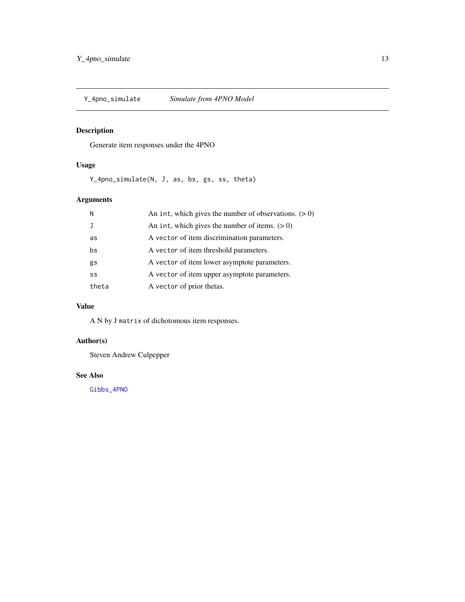<span id="page-12-0"></span>

## Description

Generate item responses under the 4PNO

## Usage

Y\_4pno\_simulate(N, J, as, bs, gs, ss, theta)

## Arguments

| N     | An int, which gives the number of observations. $(> 0)$ |
|-------|---------------------------------------------------------|
|       | An int, which gives the number of items. $(>0)$         |
| as    | A vector of item discrimination parameters.             |
| bs    | A vector of item threshold parameters.                  |
| gs    | A vector of item lower asymptote parameters.            |
| SS    | A vector of item upper asymptote parameters.            |
| theta | A vector of prior thetas.                               |

## Value

A N by J matrix of dichotomous item responses.

## Author(s)

Steven Andrew Culpepper

#### See Also

[Gibbs\\_4PNO](#page-3-1)